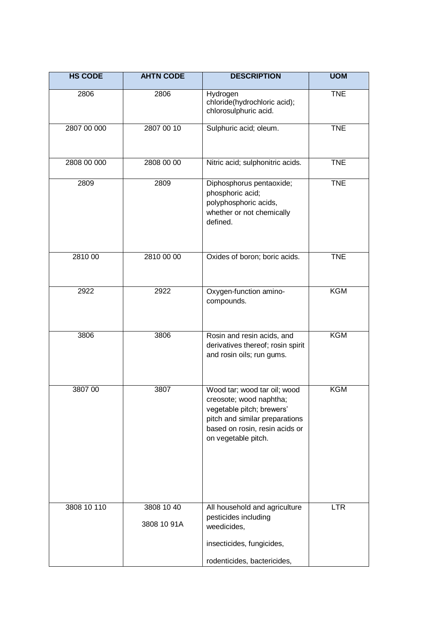| <b>HS CODE</b> | <b>AHTN CODE</b>          | <b>DESCRIPTION</b>                                                                                                                                                              | <b>UOM</b> |
|----------------|---------------------------|---------------------------------------------------------------------------------------------------------------------------------------------------------------------------------|------------|
| 2806           | 2806                      | Hydrogen<br>chloride(hydrochloric acid);<br>chlorosulphuric acid.                                                                                                               | <b>TNE</b> |
| 2807 00 000    | 2807 00 10                | Sulphuric acid; oleum.                                                                                                                                                          | <b>TNE</b> |
| 2808 00 000    | 2808 00 00                | Nitric acid; sulphonitric acids.                                                                                                                                                | <b>TNE</b> |
| 2809           | 2809                      | Diphosphorus pentaoxide;<br>phosphoric acid;<br>polyphosphoric acids,<br>whether or not chemically<br>defined.                                                                  | <b>TNE</b> |
| 2810 00        | 2810 00 00                | Oxides of boron; boric acids.                                                                                                                                                   | <b>TNE</b> |
| 2922           | 2922                      | Oxygen-function amino-<br>compounds.                                                                                                                                            | <b>KGM</b> |
| 3806           | 3806                      | Rosin and resin acids, and<br>derivatives thereof; rosin spirit<br>and rosin oils; run gums.                                                                                    | <b>KGM</b> |
| 3807 00        | 3807                      | Wood tar; wood tar oil; wood<br>creosote; wood naphtha;<br>vegetable pitch; brewers'<br>pitch and similar preparations<br>based on rosin, resin acids or<br>on vegetable pitch. | <b>KGM</b> |
| 3808 10 110    | 3808 10 40<br>3808 10 91A | All household and agriculture<br>pesticides including<br>weedicides,<br>insecticides, fungicides,<br>rodenticides, bactericides,                                                | <b>LTR</b> |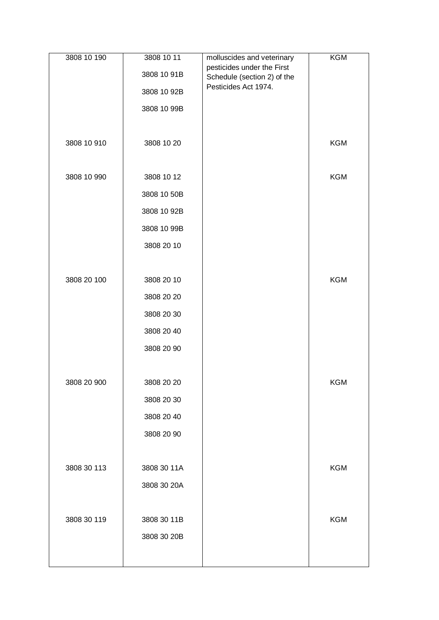| 3808 10 190 | 3808 10 11  | molluscides and veterinary                                | <b>KGM</b> |
|-------------|-------------|-----------------------------------------------------------|------------|
|             | 3808 10 91B | pesticides under the First<br>Schedule (section 2) of the |            |
|             | 3808 10 92B | Pesticides Act 1974.                                      |            |
|             | 3808 10 99B |                                                           |            |
|             |             |                                                           |            |
| 3808 10 910 | 3808 10 20  |                                                           | <b>KGM</b> |
|             |             |                                                           |            |
| 3808 10 990 | 3808 10 12  |                                                           | <b>KGM</b> |
|             | 3808 10 50B |                                                           |            |
|             | 3808 10 92B |                                                           |            |
|             | 3808 10 99B |                                                           |            |
|             | 3808 20 10  |                                                           |            |
|             |             |                                                           |            |
| 3808 20 100 | 3808 20 10  |                                                           | <b>KGM</b> |
|             | 3808 20 20  |                                                           |            |
|             | 3808 20 30  |                                                           |            |
|             | 3808 20 40  |                                                           |            |
|             | 3808 20 90  |                                                           |            |
|             |             |                                                           |            |
| 3808 20 900 | 3808 20 20  |                                                           | <b>KGM</b> |
|             | 3808 20 30  |                                                           |            |
|             | 3808 20 40  |                                                           |            |
|             | 3808 20 90  |                                                           |            |
|             |             |                                                           |            |
| 3808 30 113 | 3808 30 11A |                                                           | <b>KGM</b> |
|             | 3808 30 20A |                                                           |            |
|             |             |                                                           |            |
| 3808 30 119 | 3808 30 11B |                                                           | <b>KGM</b> |
|             | 3808 30 20B |                                                           |            |
|             |             |                                                           |            |
|             |             |                                                           |            |